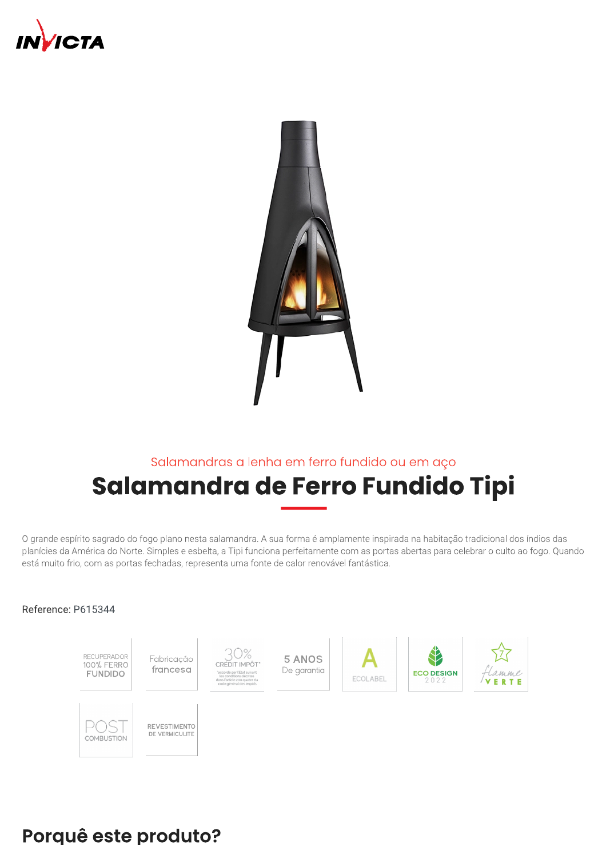



# Salamandras a lenha em ferro fundido ou em aço Salamandra de Ferro Fundido Tipi

O grande espírito sagrado do fogo plano nesta salamandra. A sua forma é amplamente inspirada na habitação tradicional dos índios das planícies da América do Norte. Simples e esbelta, a Tipi funciona perfeitamente com as portas abertas para celebrar o culto ao fogo. Quando está muito frio, com as portas fechadas, representa uma fonte de calor renovável fantástica.

#### Reference: P615344



## Porquê este produto?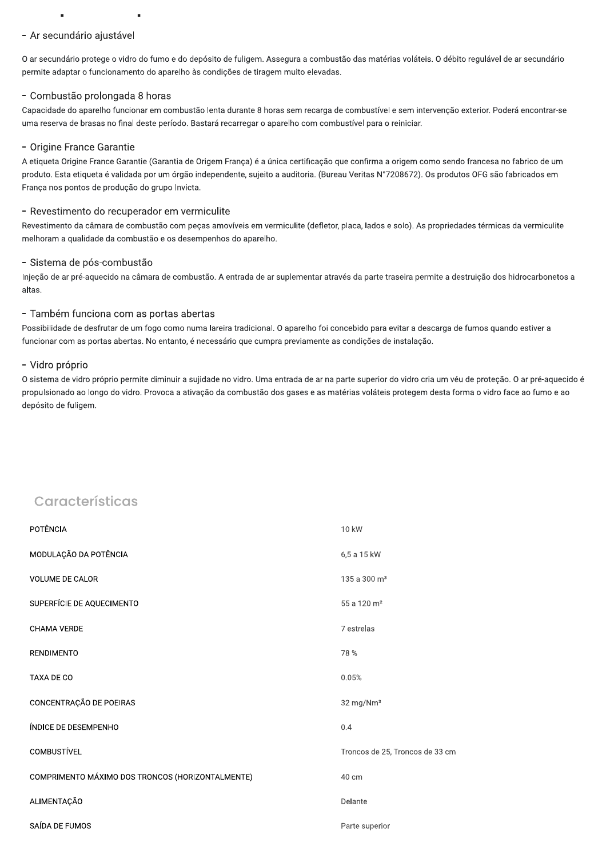#### - Ar secundário ajustável

O ar secundário protege o vidro do fumo e do depósito de fuligem. Assegura a combustão das matérias voláteis. O débito regulável de ar secundário permite adaptar o funcionamento do aparelho às condições de tiragem muito elevadas.

#### - Combustão prolongada 8 horas

Capacidade do aparelho funcionar em combustão lenta durante 8 horas sem recarga de combustível e sem intervenção exterior. Poderá encontrar-se uma reserva de brasas no final deste período. Bastará recarregar o aparelho com combustível para o reiniciar.

#### - Origine France Garantie

A etiqueta Origine France Garantie (Garantia de Origem França) é a única certificação que confirma a origem como sendo francesa no fabrico de um produto. Esta etiqueta é validada por um órgão independente, sujeito a auditoria. (Bureau Veritas N°7208672). Os produtos OFG são fabricados em França nos pontos de produção do grupo Invicta.

#### - Revestimento do recuperador em vermiculite

Revestimento da câmara de combustão com peças amovíveis em vermiculite (defletor, placa, lados e solo). As propriedades térmicas da vermiculite melhoram a qualidade da combustão e os desempenhos do aparelho.

#### - Sistema de pós-combustão

Injeção de ar pré-aquecido na câmara de combustão. A entrada de ar suplementar através da parte traseira permite a destruição dos hidrocarbonetos a altas

#### - Também funciona com as portas abertas

Possibilidade de desfrutar de um fogo como numa lareira tradicional. O aparelho foi concebido para evitar a descarga de fumos quando estiver a funcionar com as portas abertas. No entanto, é necessário que cumpra previamente as condições de instalação.

#### - Vidro próprio

O sistema de vidro próprio permite diminuir a sujidade no vidro. Uma entrada de ar na parte superior do vidro cria um véu de proteção. O ar pré-aquecido é propulsionado ao longo do vidro. Provoca a ativação da combustão dos gases e as matérias voláteis protegem desta forma o vidro face ao fumo e ao depósito de fuligem.

### Características

| POTÊNCIA                                         | 10 kW                           |
|--------------------------------------------------|---------------------------------|
| MODULAÇÃO DA POTÊNCIA                            | 6,5 a 15 kW                     |
| <b>VOLUME DE CALOR</b>                           | 135 a 300 m <sup>3</sup>        |
| SUPERFÍCIE DE AQUECIMENTO                        | 55 a 120 m <sup>2</sup>         |
| <b>CHAMA VERDE</b>                               | 7 estrelas                      |
| <b>RENDIMENTO</b>                                | 78%                             |
| TAXA DE CO                                       | 0.05%                           |
| CONCENTRAÇÃO DE POEIRAS                          | 32 mg/Nm <sup>3</sup>           |
| ÍNDICE DE DESEMPENHO                             | 0.4                             |
| <b>COMBUSTÍVEL</b>                               | Troncos de 25, Troncos de 33 cm |
| COMPRIMENTO MÁXIMO DOS TRONCOS (HORIZONTALMENTE) | 40 cm                           |
| ALIMENTAÇÃO                                      | Delante                         |
| SAÍDA DE FUMOS                                   | Parte superior                  |